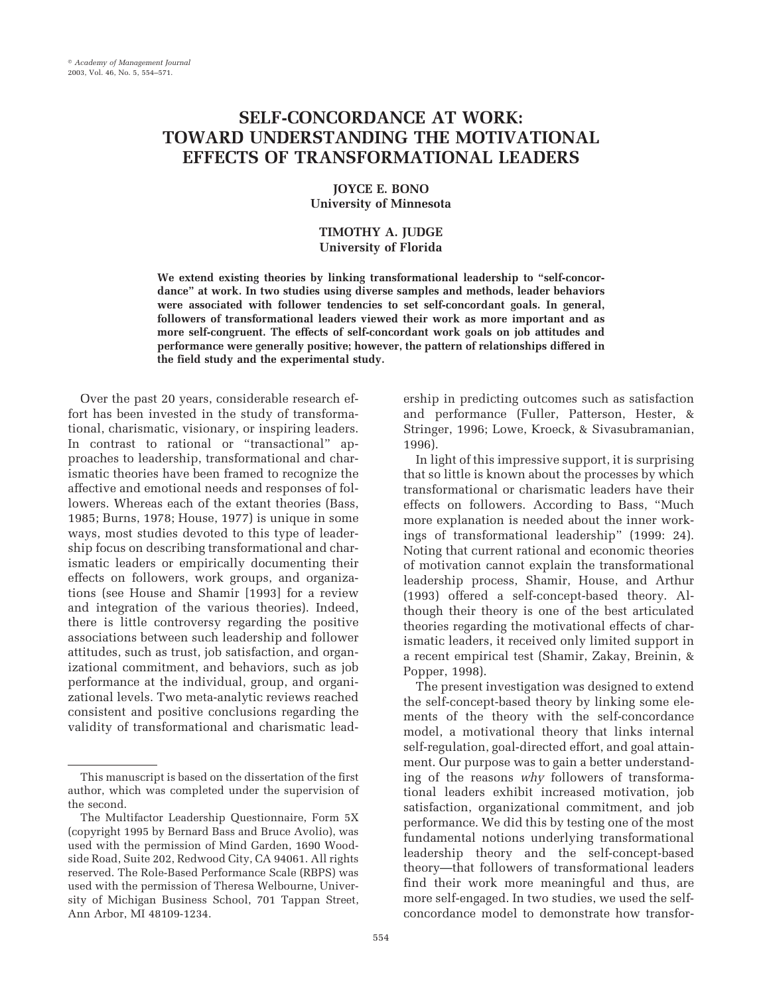# **SELF-CONCORDANCE AT WORK: TOWARD UNDERSTANDING THE MOTIVATIONAL EFFECTS OF TRANSFORMATIONAL LEADERS**

# **JOYCE E. BONO University of Minnesota**

# **TIMOTHY A. JUDGE University of Florida**

**We extend existing theories by linking transformational leadership to "self-concordance" at work. In two studies using diverse samples and methods, leader behaviors were associated with follower tendencies to set self-concordant goals. In general, followers of transformational leaders viewed their work as more important and as more self-congruent. The effects of self-concordant work goals on job attitudes and performance were generally positive; however, the pattern of relationships differed in the field study and the experimental study.**

Over the past 20 years, considerable research effort has been invested in the study of transformational, charismatic, visionary, or inspiring leaders. In contrast to rational or "transactional" approaches to leadership, transformational and charismatic theories have been framed to recognize the affective and emotional needs and responses of followers. Whereas each of the extant theories (Bass, 1985; Burns, 1978; House, 1977) is unique in some ways, most studies devoted to this type of leadership focus on describing transformational and charismatic leaders or empirically documenting their effects on followers, work groups, and organizations (see House and Shamir [1993] for a review and integration of the various theories). Indeed, there is little controversy regarding the positive associations between such leadership and follower attitudes, such as trust, job satisfaction, and organizational commitment, and behaviors, such as job performance at the individual, group, and organizational levels. Two meta-analytic reviews reached consistent and positive conclusions regarding the validity of transformational and charismatic lead-

ership in predicting outcomes such as satisfaction and performance (Fuller, Patterson, Hester, & Stringer, 1996; Lowe, Kroeck, & Sivasubramanian, 1996).

In light of this impressive support, it is surprising that so little is known about the processes by which transformational or charismatic leaders have their effects on followers. According to Bass, "Much more explanation is needed about the inner workings of transformational leadership" (1999: 24). Noting that current rational and economic theories of motivation cannot explain the transformational leadership process, Shamir, House, and Arthur (1993) offered a self-concept-based theory. Although their theory is one of the best articulated theories regarding the motivational effects of charismatic leaders, it received only limited support in a recent empirical test (Shamir, Zakay, Breinin, & Popper, 1998).

The present investigation was designed to extend the self-concept-based theory by linking some elements of the theory with the self-concordance model, a motivational theory that links internal self-regulation, goal-directed effort, and goal attainment. Our purpose was to gain a better understanding of the reasons *why* followers of transformational leaders exhibit increased motivation, job satisfaction, organizational commitment, and job performance. We did this by testing one of the most fundamental notions underlying transformational leadership theory and the self-concept-based theory—that followers of transformational leaders find their work more meaningful and thus, are more self-engaged. In two studies, we used the selfconcordance model to demonstrate how transfor-

This manuscript is based on the dissertation of the first author, which was completed under the supervision of the second.

The Multifactor Leadership Questionnaire, Form 5X (copyright 1995 by Bernard Bass and Bruce Avolio), was used with the permission of Mind Garden, 1690 Woodside Road, Suite 202, Redwood City, CA 94061. All rights reserved. The Role-Based Performance Scale (RBPS) was used with the permission of Theresa Welbourne, University of Michigan Business School, 701 Tappan Street, Ann Arbor, MI 48109-1234.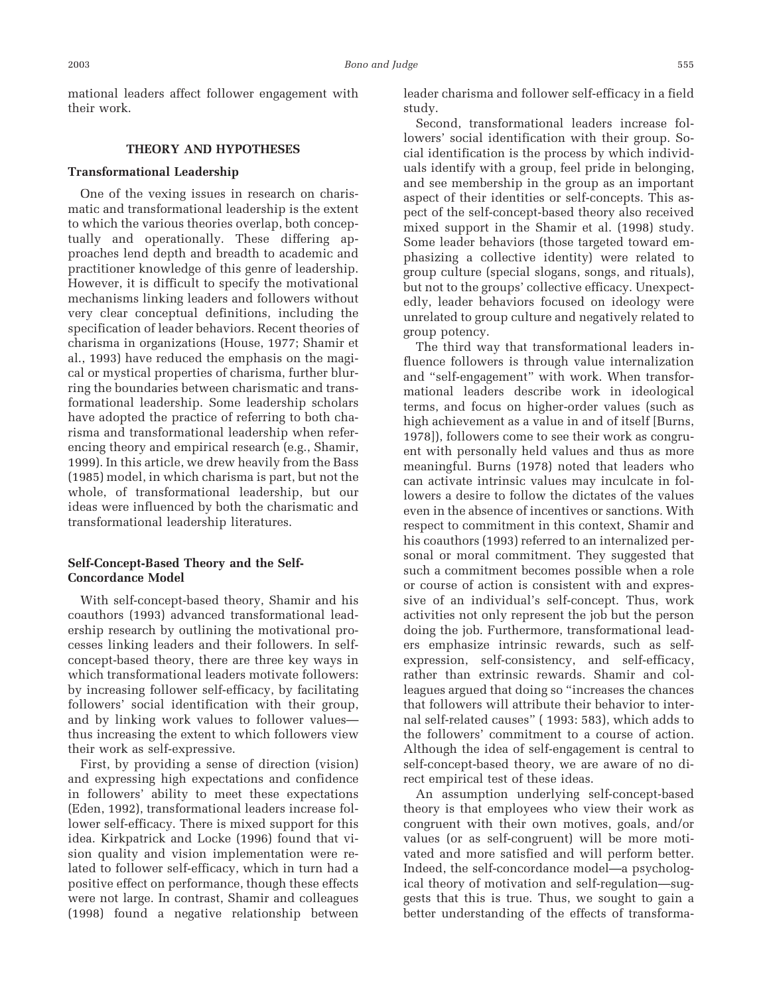mational leaders affect follower engagement with their work.

#### **THEORY AND HYPOTHESES**

#### **Transformational Leadership**

One of the vexing issues in research on charismatic and transformational leadership is the extent to which the various theories overlap, both conceptually and operationally. These differing approaches lend depth and breadth to academic and practitioner knowledge of this genre of leadership. However, it is difficult to specify the motivational mechanisms linking leaders and followers without very clear conceptual definitions, including the specification of leader behaviors. Recent theories of charisma in organizations (House, 1977; Shamir et al., 1993) have reduced the emphasis on the magical or mystical properties of charisma, further blurring the boundaries between charismatic and transformational leadership. Some leadership scholars have adopted the practice of referring to both charisma and transformational leadership when referencing theory and empirical research (e.g., Shamir, 1999). In this article, we drew heavily from the Bass (1985) model, in which charisma is part, but not the whole, of transformational leadership, but our ideas were influenced by both the charismatic and transformational leadership literatures.

## **Self-Concept-Based Theory and the Self-Concordance Model**

With self-concept-based theory, Shamir and his coauthors (1993) advanced transformational leadership research by outlining the motivational processes linking leaders and their followers. In selfconcept-based theory, there are three key ways in which transformational leaders motivate followers: by increasing follower self-efficacy, by facilitating followers' social identification with their group, and by linking work values to follower values thus increasing the extent to which followers view their work as self-expressive.

First, by providing a sense of direction (vision) and expressing high expectations and confidence in followers' ability to meet these expectations (Eden, 1992), transformational leaders increase follower self-efficacy. There is mixed support for this idea. Kirkpatrick and Locke (1996) found that vision quality and vision implementation were related to follower self-efficacy, which in turn had a positive effect on performance, though these effects were not large. In contrast, Shamir and colleagues (1998) found a negative relationship between

leader charisma and follower self-efficacy in a field study.

Second, transformational leaders increase followers' social identification with their group. Social identification is the process by which individuals identify with a group, feel pride in belonging, and see membership in the group as an important aspect of their identities or self-concepts. This aspect of the self-concept-based theory also received mixed support in the Shamir et al. (1998) study. Some leader behaviors (those targeted toward emphasizing a collective identity) were related to group culture (special slogans, songs, and rituals), but not to the groups' collective efficacy. Unexpectedly, leader behaviors focused on ideology were unrelated to group culture and negatively related to group potency.

The third way that transformational leaders influence followers is through value internalization and "self-engagement" with work. When transformational leaders describe work in ideological terms, and focus on higher-order values (such as high achievement as a value in and of itself [Burns, 1978]), followers come to see their work as congruent with personally held values and thus as more meaningful. Burns (1978) noted that leaders who can activate intrinsic values may inculcate in followers a desire to follow the dictates of the values even in the absence of incentives or sanctions. With respect to commitment in this context, Shamir and his coauthors (1993) referred to an internalized personal or moral commitment. They suggested that such a commitment becomes possible when a role or course of action is consistent with and expressive of an individual's self-concept. Thus, work activities not only represent the job but the person doing the job. Furthermore, transformational leaders emphasize intrinsic rewards, such as selfexpression, self-consistency, and self-efficacy, rather than extrinsic rewards. Shamir and colleagues argued that doing so "increases the chances that followers will attribute their behavior to internal self-related causes" ( 1993: 583), which adds to the followers' commitment to a course of action. Although the idea of self-engagement is central to self-concept-based theory, we are aware of no direct empirical test of these ideas.

An assumption underlying self-concept-based theory is that employees who view their work as congruent with their own motives, goals, and/or values (or as self-congruent) will be more motivated and more satisfied and will perform better. Indeed, the self-concordance model—a psychological theory of motivation and self-regulation—suggests that this is true. Thus, we sought to gain a better understanding of the effects of transforma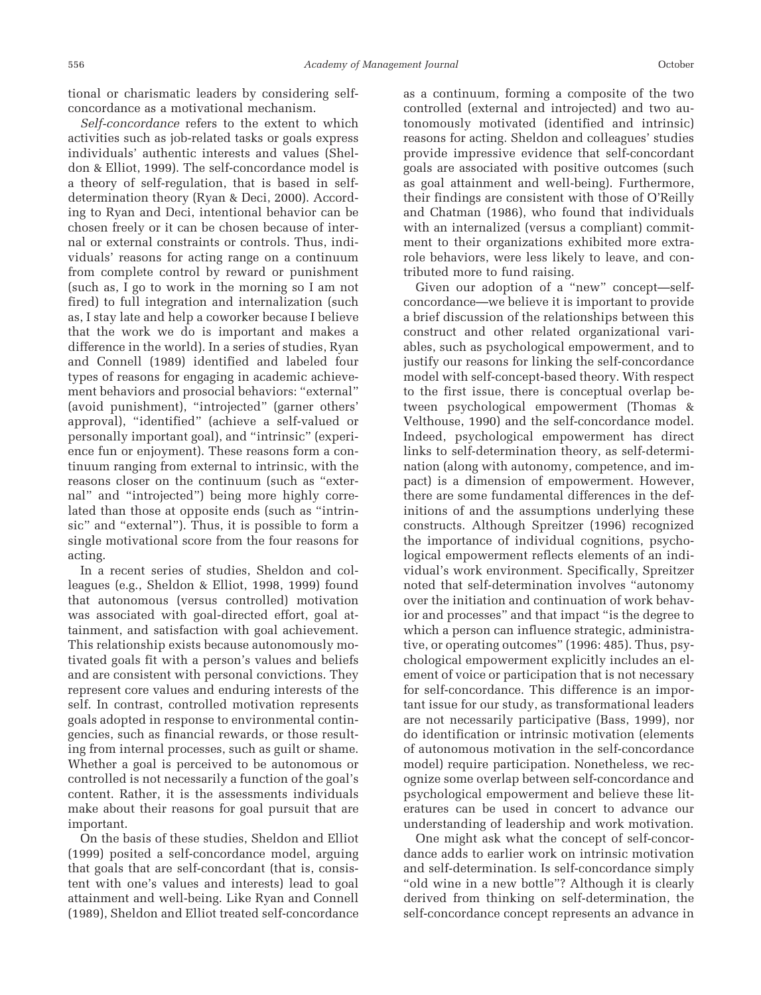tional or charismatic leaders by considering selfconcordance as a motivational mechanism.

*Self-concordance* refers to the extent to which activities such as job-related tasks or goals express individuals' authentic interests and values (Sheldon & Elliot, 1999). The self-concordance model is a theory of self-regulation, that is based in selfdetermination theory (Ryan & Deci, 2000). According to Ryan and Deci, intentional behavior can be chosen freely or it can be chosen because of internal or external constraints or controls. Thus, individuals' reasons for acting range on a continuum from complete control by reward or punishment (such as, I go to work in the morning so I am not fired) to full integration and internalization (such as, I stay late and help a coworker because I believe that the work we do is important and makes a difference in the world). In a series of studies, Ryan and Connell (1989) identified and labeled four types of reasons for engaging in academic achievement behaviors and prosocial behaviors: "external" (avoid punishment), "introjected" (garner others' approval), "identified" (achieve a self-valued or personally important goal), and "intrinsic" (experience fun or enjoyment). These reasons form a continuum ranging from external to intrinsic, with the reasons closer on the continuum (such as "external" and "introjected") being more highly correlated than those at opposite ends (such as "intrinsic" and "external"). Thus, it is possible to form a single motivational score from the four reasons for acting.

In a recent series of studies, Sheldon and colleagues (e.g., Sheldon & Elliot, 1998, 1999) found that autonomous (versus controlled) motivation was associated with goal-directed effort, goal attainment, and satisfaction with goal achievement. This relationship exists because autonomously motivated goals fit with a person's values and beliefs and are consistent with personal convictions. They represent core values and enduring interests of the self. In contrast, controlled motivation represents goals adopted in response to environmental contingencies, such as financial rewards, or those resulting from internal processes, such as guilt or shame. Whether a goal is perceived to be autonomous or controlled is not necessarily a function of the goal's content. Rather, it is the assessments individuals make about their reasons for goal pursuit that are important.

On the basis of these studies, Sheldon and Elliot (1999) posited a self-concordance model, arguing that goals that are self-concordant (that is, consistent with one's values and interests) lead to goal attainment and well-being. Like Ryan and Connell (1989), Sheldon and Elliot treated self-concordance as a continuum, forming a composite of the two controlled (external and introjected) and two autonomously motivated (identified and intrinsic) reasons for acting. Sheldon and colleagues' studies provide impressive evidence that self-concordant goals are associated with positive outcomes (such as goal attainment and well-being). Furthermore, their findings are consistent with those of O'Reilly and Chatman (1986), who found that individuals with an internalized (versus a compliant) commitment to their organizations exhibited more extrarole behaviors, were less likely to leave, and contributed more to fund raising.

Given our adoption of a "new" concept—selfconcordance—we believe it is important to provide a brief discussion of the relationships between this construct and other related organizational variables, such as psychological empowerment, and to justify our reasons for linking the self-concordance model with self-concept-based theory. With respect to the first issue, there is conceptual overlap between psychological empowerment (Thomas & Velthouse, 1990) and the self-concordance model. Indeed, psychological empowerment has direct links to self-determination theory, as self-determination (along with autonomy, competence, and impact) is a dimension of empowerment. However, there are some fundamental differences in the definitions of and the assumptions underlying these constructs. Although Spreitzer (1996) recognized the importance of individual cognitions, psychological empowerment reflects elements of an individual's work environment. Specifically, Spreitzer noted that self-determination involves "autonomy over the initiation and continuation of work behavior and processes" and that impact "is the degree to which a person can influence strategic, administrative, or operating outcomes" (1996: 485). Thus, psychological empowerment explicitly includes an element of voice or participation that is not necessary for self-concordance. This difference is an important issue for our study, as transformational leaders are not necessarily participative (Bass, 1999), nor do identification or intrinsic motivation (elements of autonomous motivation in the self-concordance model) require participation. Nonetheless, we recognize some overlap between self-concordance and psychological empowerment and believe these literatures can be used in concert to advance our understanding of leadership and work motivation.

One might ask what the concept of self-concordance adds to earlier work on intrinsic motivation and self-determination. Is self-concordance simply "old wine in a new bottle"? Although it is clearly derived from thinking on self-determination, the self-concordance concept represents an advance in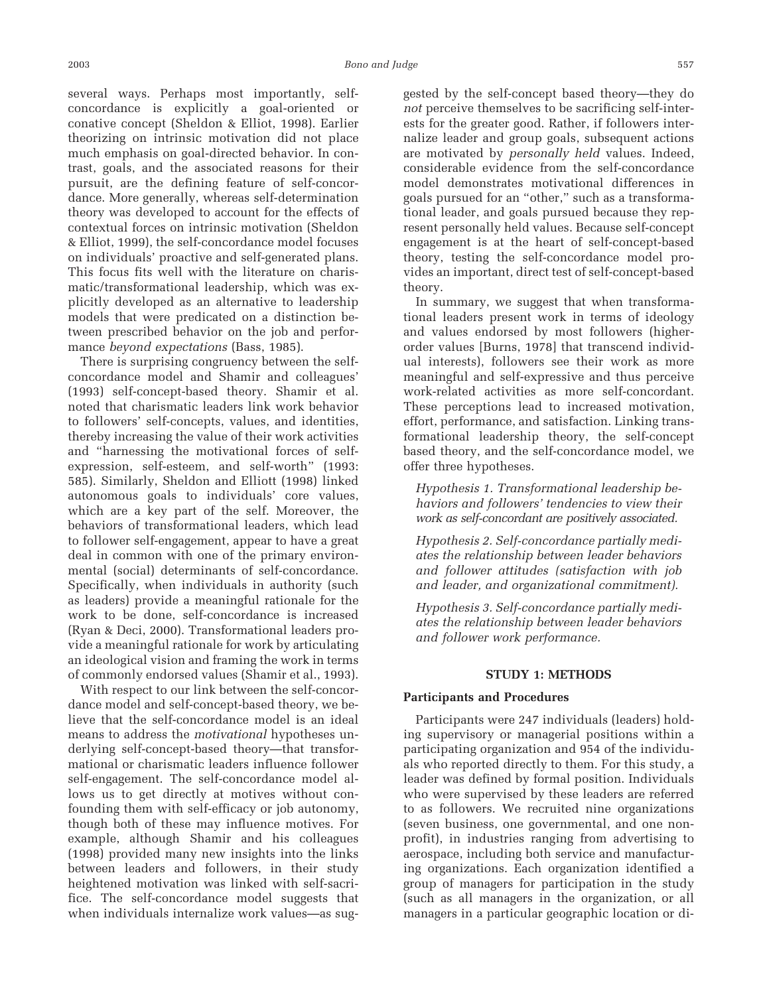several ways. Perhaps most importantly, selfconcordance is explicitly a goal-oriented or conative concept (Sheldon & Elliot, 1998). Earlier theorizing on intrinsic motivation did not place much emphasis on goal-directed behavior. In contrast, goals, and the associated reasons for their pursuit, are the defining feature of self-concordance. More generally, whereas self-determination theory was developed to account for the effects of contextual forces on intrinsic motivation (Sheldon & Elliot, 1999), the self-concordance model focuses on individuals' proactive and self-generated plans. This focus fits well with the literature on charismatic/transformational leadership, which was explicitly developed as an alternative to leadership models that were predicated on a distinction between prescribed behavior on the job and performance *beyond expectations* (Bass, 1985).

There is surprising congruency between the selfconcordance model and Shamir and colleagues' (1993) self-concept-based theory. Shamir et al. noted that charismatic leaders link work behavior to followers' self-concepts, values, and identities, thereby increasing the value of their work activities and "harnessing the motivational forces of selfexpression, self-esteem, and self-worth" (1993: 585). Similarly, Sheldon and Elliott (1998) linked autonomous goals to individuals' core values, which are a key part of the self. Moreover, the behaviors of transformational leaders, which lead to follower self-engagement, appear to have a great deal in common with one of the primary environmental (social) determinants of self-concordance. Specifically, when individuals in authority (such as leaders) provide a meaningful rationale for the work to be done, self-concordance is increased (Ryan & Deci, 2000). Transformational leaders provide a meaningful rationale for work by articulating an ideological vision and framing the work in terms of commonly endorsed values (Shamir et al., 1993).

With respect to our link between the self-concordance model and self-concept-based theory, we believe that the self-concordance model is an ideal means to address the *motivational* hypotheses underlying self-concept-based theory—that transformational or charismatic leaders influence follower self-engagement. The self-concordance model allows us to get directly at motives without confounding them with self-efficacy or job autonomy, though both of these may influence motives. For example, although Shamir and his colleagues (1998) provided many new insights into the links between leaders and followers, in their study heightened motivation was linked with self-sacrifice. The self-concordance model suggests that when individuals internalize work values—as suggested by the self-concept based theory—they do *not* perceive themselves to be sacrificing self-interests for the greater good. Rather, if followers internalize leader and group goals, subsequent actions are motivated by *personally held* values. Indeed, considerable evidence from the self-concordance model demonstrates motivational differences in goals pursued for an "other," such as a transformational leader, and goals pursued because they represent personally held values. Because self-concept engagement is at the heart of self-concept-based theory, testing the self-concordance model provides an important, direct test of self-concept-based theory.

In summary, we suggest that when transformational leaders present work in terms of ideology and values endorsed by most followers (higherorder values [Burns, 1978] that transcend individual interests), followers see their work as more meaningful and self-expressive and thus perceive work-related activities as more self-concordant. These perceptions lead to increased motivation, effort, performance, and satisfaction. Linking transformational leadership theory, the self-concept based theory, and the self-concordance model, we offer three hypotheses.

*Hypothesis 1. Transformational leadership behaviors and followers' tendencies to view their work as self-concordant are positively associated.*

*Hypothesis 2. Self-concordance partially mediates the relationship between leader behaviors and follower attitudes (satisfaction with job and leader, and organizational commitment).*

*Hypothesis 3. Self-concordance partially mediates the relationship between leader behaviors and follower work performance.*

#### **STUDY 1: METHODS**

#### **Participants and Procedures**

Participants were 247 individuals (leaders) holding supervisory or managerial positions within a participating organization and 954 of the individuals who reported directly to them. For this study, a leader was defined by formal position. Individuals who were supervised by these leaders are referred to as followers. We recruited nine organizations (seven business, one governmental, and one nonprofit), in industries ranging from advertising to aerospace, including both service and manufacturing organizations. Each organization identified a group of managers for participation in the study (such as all managers in the organization, or all managers in a particular geographic location or di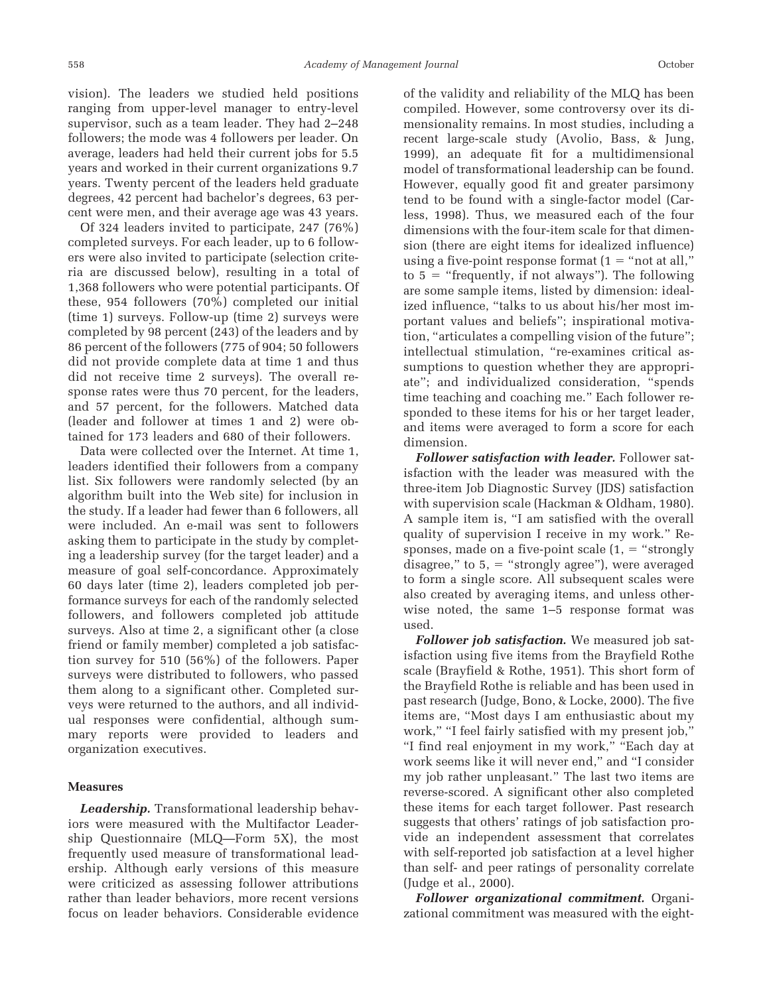vision). The leaders we studied held positions ranging from upper-level manager to entry-level supervisor, such as a team leader. They had 2–248 followers; the mode was 4 followers per leader. On average, leaders had held their current jobs for 5.5 years and worked in their current organizations 9.7 years. Twenty percent of the leaders held graduate degrees, 42 percent had bachelor's degrees, 63 percent were men, and their average age was 43 years.

Of 324 leaders invited to participate, 247 (76%) completed surveys. For each leader, up to 6 followers were also invited to participate (selection criteria are discussed below), resulting in a total of 1,368 followers who were potential participants. Of these, 954 followers (70%) completed our initial (time 1) surveys. Follow-up (time 2) surveys were completed by 98 percent (243) of the leaders and by 86 percent of the followers (775 of 904; 50 followers did not provide complete data at time 1 and thus did not receive time 2 surveys). The overall response rates were thus 70 percent, for the leaders, and 57 percent, for the followers. Matched data (leader and follower at times 1 and 2) were obtained for 173 leaders and 680 of their followers.

Data were collected over the Internet. At time 1, leaders identified their followers from a company list. Six followers were randomly selected (by an algorithm built into the Web site) for inclusion in the study. If a leader had fewer than 6 followers, all were included. An e-mail was sent to followers asking them to participate in the study by completing a leadership survey (for the target leader) and a measure of goal self-concordance. Approximately 60 days later (time 2), leaders completed job performance surveys for each of the randomly selected followers, and followers completed job attitude surveys. Also at time 2, a significant other (a close friend or family member) completed a job satisfaction survey for 510 (56%) of the followers. Paper surveys were distributed to followers, who passed them along to a significant other. Completed surveys were returned to the authors, and all individual responses were confidential, although summary reports were provided to leaders and organization executives.

#### **Measures**

*Leadership.* Transformational leadership behaviors were measured with the Multifactor Leadership Questionnaire (MLQ—Form 5X), the most frequently used measure of transformational leadership. Although early versions of this measure were criticized as assessing follower attributions rather than leader behaviors, more recent versions focus on leader behaviors. Considerable evidence

of the validity and reliability of the MLQ has been compiled. However, some controversy over its dimensionality remains. In most studies, including a recent large-scale study (Avolio, Bass, & Jung, 1999), an adequate fit for a multidimensional model of transformational leadership can be found. However, equally good fit and greater parsimony tend to be found with a single-factor model (Carless, 1998). Thus, we measured each of the four dimensions with the four-item scale for that dimension (there are eight items for idealized influence) using a five-point response format  $(1 - \text{``not at all''})$ to  $5$  = "frequently, if not always"). The following are some sample items, listed by dimension: idealized influence, "talks to us about his/her most important values and beliefs"; inspirational motivation, "articulates a compelling vision of the future"; intellectual stimulation, "re-examines critical assumptions to question whether they are appropriate"; and individualized consideration, "spends time teaching and coaching me." Each follower responded to these items for his or her target leader, and items were averaged to form a score for each dimension.

*Follower satisfaction with leader.* Follower satisfaction with the leader was measured with the three-item Job Diagnostic Survey (JDS) satisfaction with supervision scale (Hackman & Oldham, 1980). A sample item is, "I am satisfied with the overall quality of supervision I receive in my work." Responses, made on a five-point scale  $(1, = "strongly$ disagree," to  $5 =$  "strongly agree"), were averaged to form a single score. All subsequent scales were also created by averaging items, and unless otherwise noted, the same 1–5 response format was used.

*Follower job satisfaction.* We measured job satisfaction using five items from the Brayfield Rothe scale (Brayfield & Rothe, 1951). This short form of the Brayfield Rothe is reliable and has been used in past research (Judge, Bono, & Locke, 2000). The five items are, "Most days I am enthusiastic about my work," "I feel fairly satisfied with my present job," "I find real enjoyment in my work," "Each day at work seems like it will never end," and "I consider my job rather unpleasant." The last two items are reverse-scored. A significant other also completed these items for each target follower. Past research suggests that others' ratings of job satisfaction provide an independent assessment that correlates with self-reported job satisfaction at a level higher than self- and peer ratings of personality correlate (Judge et al., 2000).

*Follower organizational commitment.* Organizational commitment was measured with the eight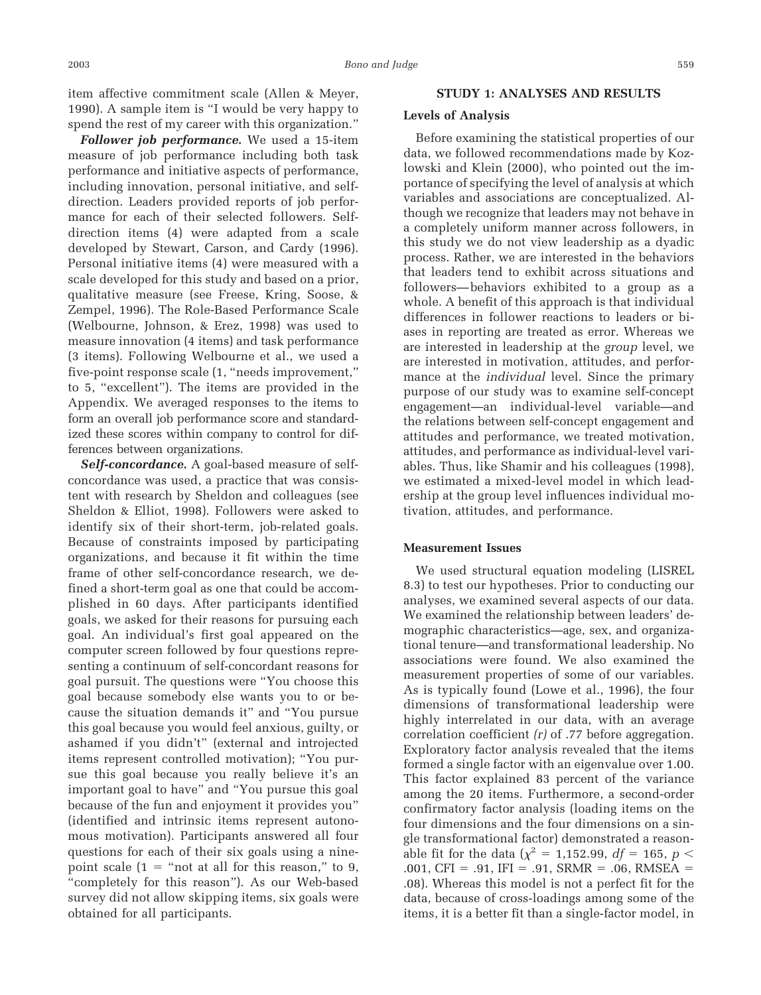item affective commitment scale (Allen & Meyer, 1990). A sample item is "I would be very happy to spend the rest of my career with this organization."

*Follower job performance.* We used a 15-item measure of job performance including both task performance and initiative aspects of performance, including innovation, personal initiative, and selfdirection. Leaders provided reports of job performance for each of their selected followers. Selfdirection items (4) were adapted from a scale developed by Stewart, Carson, and Cardy (1996). Personal initiative items (4) were measured with a scale developed for this study and based on a prior, qualitative measure (see Freese, Kring, Soose, & Zempel, 1996). The Role-Based Performance Scale (Welbourne, Johnson, & Erez, 1998) was used to measure innovation (4 items) and task performance (3 items). Following Welbourne et al., we used a five-point response scale (1, "needs improvement," to 5, "excellent"). The items are provided in the Appendix. We averaged responses to the items to form an overall job performance score and standardized these scores within company to control for differences between organizations.

*Self-concordance.* A goal-based measure of selfconcordance was used, a practice that was consistent with research by Sheldon and colleagues (see Sheldon & Elliot, 1998). Followers were asked to identify six of their short-term, job-related goals. Because of constraints imposed by participating organizations, and because it fit within the time frame of other self-concordance research, we defined a short-term goal as one that could be accomplished in 60 days. After participants identified goals, we asked for their reasons for pursuing each goal. An individual's first goal appeared on the computer screen followed by four questions representing a continuum of self-concordant reasons for goal pursuit. The questions were "You choose this goal because somebody else wants you to or because the situation demands it" and "You pursue this goal because you would feel anxious, guilty, or ashamed if you didn't" (external and introjected items represent controlled motivation); "You pursue this goal because you really believe it's an important goal to have" and "You pursue this goal because of the fun and enjoyment it provides you" (identified and intrinsic items represent autonomous motivation). Participants answered all four questions for each of their six goals using a ninepoint scale  $(1 - \text{``not at all for this reason,'' to 9},$ "completely for this reason"). As our Web-based survey did not allow skipping items, six goals were obtained for all participants.

# **STUDY 1: ANALYSES AND RESULTS**

#### **Levels of Analysis**

Before examining the statistical properties of our data, we followed recommendations made by Kozlowski and Klein (2000), who pointed out the importance of specifying the level of analysis at which variables and associations are conceptualized. Although we recognize that leaders may not behave in a completely uniform manner across followers, in this study we do not view leadership as a dyadic process. Rather, we are interested in the behaviors that leaders tend to exhibit across situations and followers—behaviors exhibited to a group as a whole. A benefit of this approach is that individual differences in follower reactions to leaders or biases in reporting are treated as error. Whereas we are interested in leadership at the *group* level, we are interested in motivation, attitudes, and performance at the *individual* level. Since the primary purpose of our study was to examine self-concept engagement—an individual-level variable—and the relations between self-concept engagement and attitudes and performance, we treated motivation, attitudes, and performance as individual-level variables. Thus, like Shamir and his colleagues (1998), we estimated a mixed-level model in which leadership at the group level influences individual motivation, attitudes, and performance.

#### **Measurement Issues**

We used structural equation modeling (LISREL 8.3) to test our hypotheses. Prior to conducting our analyses, we examined several aspects of our data. We examined the relationship between leaders' demographic characteristics—age, sex, and organizational tenure—and transformational leadership. No associations were found. We also examined the measurement properties of some of our variables. As is typically found (Lowe et al., 1996), the four dimensions of transformational leadership were highly interrelated in our data, with an average correlation coefficient *(r)* of .77 before aggregation. Exploratory factor analysis revealed that the items formed a single factor with an eigenvalue over 1.00. This factor explained 83 percent of the variance among the 20 items. Furthermore, a second-order confirmatory factor analysis (loading items on the four dimensions and the four dimensions on a single transformational factor) demonstrated a reasonable fit for the data ( $\chi^2$  = 1,152.99, *df* = 165, *p* < .001, CFI = .91, IFI = .91, SRMR = .06, RMSEA = .08). Whereas this model is not a perfect fit for the data, because of cross-loadings among some of the items, it is a better fit than a single-factor model, in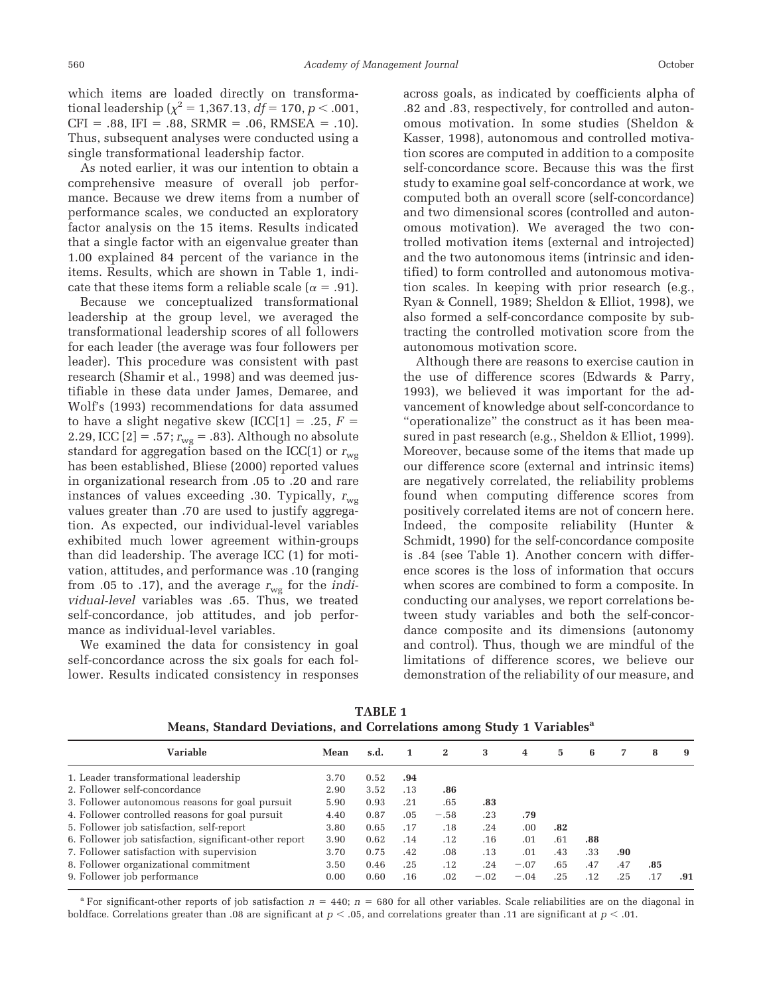As noted earlier, it was our intention to obtain a comprehensive measure of overall job performance. Because we drew items from a number of performance scales, we conducted an exploratory factor analysis on the 15 items. Results indicated that a single factor with an eigenvalue greater than 1.00 explained 84 percent of the variance in the items. Results, which are shown in Table 1, indicate that these items form a reliable scale ( $\alpha = .91$ ).

Because we conceptualized transformational leadership at the group level, we averaged the transformational leadership scores of all followers for each leader (the average was four followers per leader). This procedure was consistent with past research (Shamir et al., 1998) and was deemed justifiable in these data under James, Demaree, and Wolf's (1993) recommendations for data assumed to have a slight negative skew  $[ICC[1] = .25, F =$ 2.29, ICC [2] = .57;  $r_{\text{wg}}$  = .83). Although no absolute standard for aggregation based on the ICC(1) or  $r_{\rm wg}$ has been established, Bliese (2000) reported values in organizational research from .05 to .20 and rare instances of values exceeding .30. Typically,  $r_{\text{wg}}$ values greater than .70 are used to justify aggregation. As expected, our individual-level variables exhibited much lower agreement within-groups than did leadership. The average ICC (1) for motivation, attitudes, and performance was .10 (ranging from .05 to .17), and the average  $r_{wg}$  for the *individual-level* variables was .65. Thus, we treated self-concordance, job attitudes, and job performance as individual-level variables.

We examined the data for consistency in goal self-concordance across the six goals for each follower. Results indicated consistency in responses

across goals, as indicated by coefficients alpha of .82 and .83, respectively, for controlled and autonomous motivation. In some studies (Sheldon & Kasser, 1998), autonomous and controlled motivation scores are computed in addition to a composite self-concordance score. Because this was the first study to examine goal self-concordance at work, we computed both an overall score (self-concordance) and two dimensional scores (controlled and autonomous motivation). We averaged the two controlled motivation items (external and introjected) and the two autonomous items (intrinsic and identified) to form controlled and autonomous motivation scales. In keeping with prior research (e.g., Ryan & Connell, 1989; Sheldon & Elliot, 1998), we also formed a self-concordance composite by subtracting the controlled motivation score from the autonomous motivation score.

Although there are reasons to exercise caution in the use of difference scores (Edwards & Parry, 1993), we believed it was important for the advancement of knowledge about self-concordance to "operationalize" the construct as it has been measured in past research (e.g., Sheldon & Elliot, 1999). Moreover, because some of the items that made up our difference score (external and intrinsic items) are negatively correlated, the reliability problems found when computing difference scores from positively correlated items are not of concern here. Indeed, the composite reliability (Hunter & Schmidt, 1990) for the self-concordance composite is .84 (see Table 1). Another concern with difference scores is the loss of information that occurs when scores are combined to form a composite. In conducting our analyses, we report correlations between study variables and both the self-concordance composite and its dimensions (autonomy and control). Thus, though we are mindful of the limitations of difference scores, we believe our demonstration of the reliability of our measure, and

| Variable                                               | Mean | s.d. |     | $\mathbf{2}$ | 3      | 4      | 5   | 6   |     | 8   | 9   |
|--------------------------------------------------------|------|------|-----|--------------|--------|--------|-----|-----|-----|-----|-----|
| 1. Leader transformational leadership                  | 3.70 | 0.52 | .94 |              |        |        |     |     |     |     |     |
| 2. Follower self-concordance                           | 2.90 | 3.52 | .13 | .86          |        |        |     |     |     |     |     |
| 3. Follower autonomous reasons for goal pursuit        | 5.90 | 0.93 | .21 | .65          | .83    |        |     |     |     |     |     |
| 4. Follower controlled reasons for goal pursuit        | 4.40 | 0.87 | .05 | $-.58$       | .23    | .79    |     |     |     |     |     |
| 5. Follower job satisfaction, self-report              | 3.80 | 0.65 | .17 | .18          | .24    | .00.   | .82 |     |     |     |     |
| 6. Follower job satisfaction, significant-other report | 3.90 | 0.62 | .14 | .12          | .16    | .01    | .61 | .88 |     |     |     |
| 7. Follower satisfaction with supervision              | 3.70 | 0.75 | .42 | .08          | .13    | .01    | .43 | .33 | .90 |     |     |
| 8. Follower organizational commitment                  | 3.50 | 0.46 | .25 | .12          | .24    | $-.07$ | .65 | .47 | .47 | .85 |     |
| 9. Follower job performance                            | 0.00 | 0.60 | .16 | .02          | $-.02$ | $-.04$ | .25 | .12 | .25 | .17 | .91 |

**TABLE 1 Means, Standard Deviations, and Correlations among Study 1 Variablesa**

<sup>a</sup> For significant-other reports of job satisfaction  $n = 440$ ;  $n = 680$  for all other variables. Scale reliabilities are on the diagonal in boldface. Correlations greater than .08 are significant at *p* - .05, and correlations greater than .11 are significant at *p* - .01.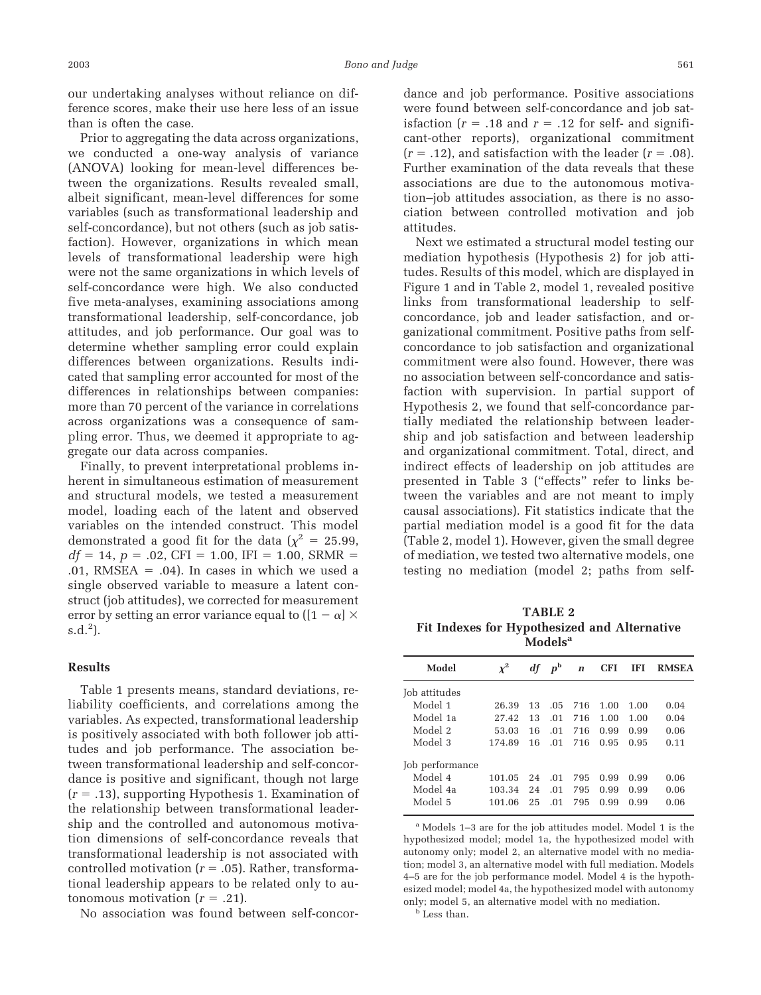our undertaking analyses without reliance on difference scores, make their use here less of an issue than is often the case.

Prior to aggregating the data across organizations, we conducted a one-way analysis of variance (ANOVA) looking for mean-level differences between the organizations. Results revealed small, albeit significant, mean-level differences for some variables (such as transformational leadership and self-concordance), but not others (such as job satisfaction). However, organizations in which mean levels of transformational leadership were high were not the same organizations in which levels of self-concordance were high. We also conducted five meta-analyses, examining associations among transformational leadership, self-concordance, job attitudes, and job performance. Our goal was to determine whether sampling error could explain differences between organizations. Results indicated that sampling error accounted for most of the differences in relationships between companies: more than 70 percent of the variance in correlations across organizations was a consequence of sampling error. Thus, we deemed it appropriate to aggregate our data across companies.

Finally, to prevent interpretational problems inherent in simultaneous estimation of measurement and structural models, we tested a measurement model, loading each of the latent and observed variables on the intended construct. This model demonstrated a good fit for the data ( $\chi^2 = 25.99$ ,  $df = 14$ ,  $p = .02$ , CFI = 1.00, IFI = 1.00, SRMR = .01, RMSEA  $=$  .04). In cases in which we used a single observed variable to measure a latent construct (job attitudes), we corrected for measurement error by setting an error variance equal to ([1  $\alpha$ ]  $\times$  $s.d.<sup>2</sup>$ ).

# **Results**

Table 1 presents means, standard deviations, reliability coefficients, and correlations among the variables. As expected, transformational leadership is positively associated with both follower job attitudes and job performance. The association between transformational leadership and self-concordance is positive and significant, though not large  $(r = .13)$ , supporting Hypothesis 1. Examination of the relationship between transformational leadership and the controlled and autonomous motivation dimensions of self-concordance reveals that transformational leadership is not associated with controlled motivation  $(r = .05)$ . Rather, transformational leadership appears to be related only to autonomous motivation  $(r=.21)$ .

No association was found between self-concor-

dance and job performance. Positive associations were found between self-concordance and job satisfaction  $(r = .18$  and  $r = .12$  for self- and significant-other reports), organizational commitment  $(r = .12)$ , and satisfaction with the leader  $(r = .08)$ . Further examination of the data reveals that these associations are due to the autonomous motivation–job attitudes association, as there is no association between controlled motivation and job attitudes.

Next we estimated a structural model testing our mediation hypothesis (Hypothesis 2) for job attitudes. Results of this model, which are displayed in Figure 1 and in Table 2, model 1, revealed positive links from transformational leadership to selfconcordance, job and leader satisfaction, and organizational commitment. Positive paths from selfconcordance to job satisfaction and organizational commitment were also found. However, there was no association between self-concordance and satisfaction with supervision. In partial support of Hypothesis 2, we found that self-concordance partially mediated the relationship between leadership and job satisfaction and between leadership and organizational commitment. Total, direct, and indirect effects of leadership on job attitudes are presented in Table 3 ("effects" refer to links between the variables and are not meant to imply causal associations). Fit statistics indicate that the partial mediation model is a good fit for the data (Table 2, model 1). However, given the small degree of mediation, we tested two alternative models, one testing no mediation (model 2; paths from self-

**TABLE 2 Fit Indexes for Hypothesized and Alternative Modelsa**

| Model           | $\chi^2$ | df  | $p^{\rm b}$ | n   | <b>CFI</b> | IFI  | <b>RMSEA</b> |
|-----------------|----------|-----|-------------|-----|------------|------|--------------|
| Job attitudes   |          |     |             |     |            |      |              |
| Model 1         | 26.39    | 13  | .05         | 716 | 1.00       | 1.00 | 0.04         |
| Model 1a        | 27.42    | 13  | .01         | 716 | 1.00       | 1.00 | 0.04         |
| Model 2         | 53.03    | 16  | .01         | 716 | 0.99       | 0.99 | 0.06         |
| Model 3         | 174.89   | 16  | .01         | 716 | 0.95       | 0.95 | 0.11         |
| Job performance |          |     |             |     |            |      |              |
| Model 4         | 101.05   | 24  | .01         | 795 | 0.99       | 0.99 | 0.06         |
| Model 4a        | 103.34   | 2.4 | .01         | 795 | 0.99       | 0.99 | 0.06         |
| Model 5         | 101.06   | 2.5 | .01         | 795 | 0.99       | 0.99 | 0.06         |

<sup>a</sup> Models 1–3 are for the job attitudes model. Model 1 is the hypothesized model; model 1a, the hypothesized model with autonomy only; model 2, an alternative model with no mediation; model 3, an alternative model with full mediation. Models 4–5 are for the job performance model. Model 4 is the hypothesized model; model 4a, the hypothesized model with autonomy only; model 5, an alternative model with no mediation.

 $b$  Less than.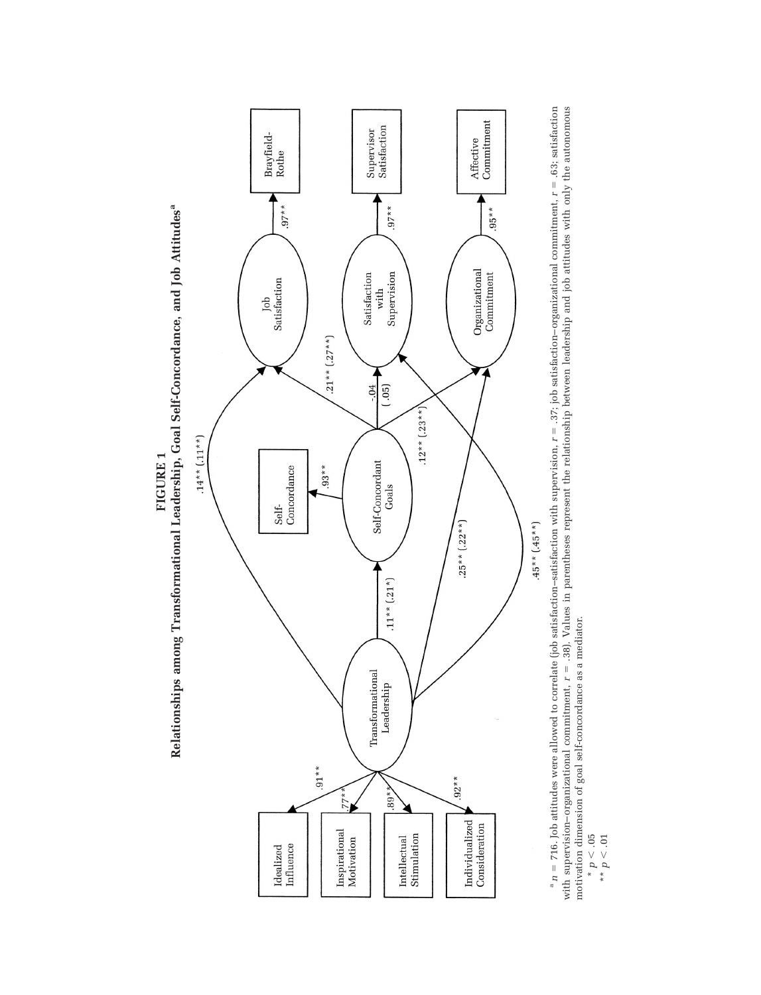

**FIGURE 1**

FIGURE 1



 $\leq p \leq$ .05

 $* p$   $\lt$ .01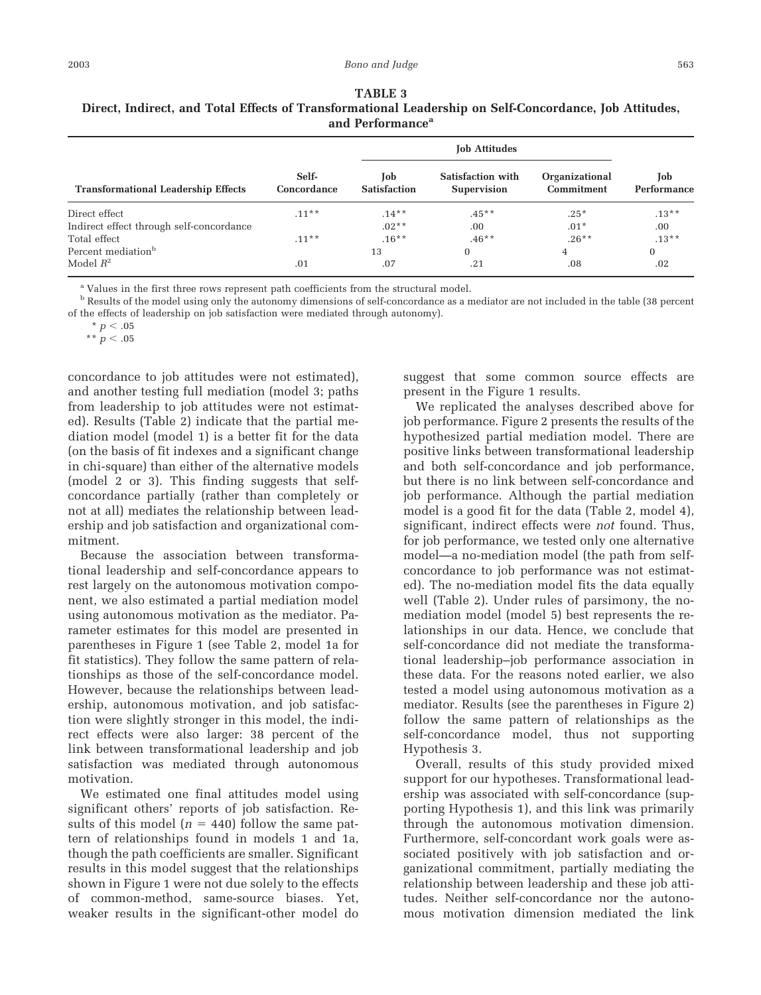| i<br>$\sim$ | I<br>$\sim$ | o esta<br>۰. |
|-------------|-------------|--------------|

| <b>Transformational Leadership Effects</b> | Self-<br><b>Concordance</b> | Job<br><b>Satisfaction</b> | Satisfaction with<br><b>Supervision</b> | Organizational<br>Commitment | <b>Job</b><br>Performance |  |  |  |
|--------------------------------------------|-----------------------------|----------------------------|-----------------------------------------|------------------------------|---------------------------|--|--|--|
| Direct effect                              | $.11***$                    | $.14***$                   | $.45***$                                | $.25*$                       | $.13**$                   |  |  |  |
| Indirect effect through self-concordance   |                             | $.02**$                    | .00.                                    | $.01*$                       | .00.                      |  |  |  |
| Total effect                               | $.11***$                    | $.16***$                   | $.46**$                                 | $.26***$                     | $.13***$                  |  |  |  |
| Percent mediation <sup>b</sup>             |                             | 13                         | $\Omega$                                | 4                            | $\overline{0}$            |  |  |  |
| Model $R^2$                                | .01                         | .07                        | .21                                     | .08                          | .02                       |  |  |  |

**TABLE 3 Direct, Indirect, and Total Effects of Transformational Leadership on Self-Concordance, Job Attitudes, and Performancea**

<sup>a</sup> Values in the first three rows represent path coefficients from the structural model.

<sup>b</sup> Results of the model using only the autonomy dimensions of self-concordance as a mediator are not included in the table (38 percent of the effects of leadership on job satisfaction were mediated through autonomy).

 $*$  \*  $p < .05$ 

concordance to job attitudes were not estimated), and another testing full mediation (model 3; paths from leadership to job attitudes were not estimated). Results (Table 2) indicate that the partial mediation model (model 1) is a better fit for the data (on the basis of fit indexes and a significant change in chi-square) than either of the alternative models (model 2 or 3). This finding suggests that selfconcordance partially (rather than completely or not at all) mediates the relationship between leadership and job satisfaction and organizational commitment.

Because the association between transformational leadership and self-concordance appears to rest largely on the autonomous motivation component, we also estimated a partial mediation model using autonomous motivation as the mediator. Parameter estimates for this model are presented in parentheses in Figure 1 (see Table 2, model 1a for fit statistics). They follow the same pattern of relationships as those of the self-concordance model. However, because the relationships between leadership, autonomous motivation, and job satisfaction were slightly stronger in this model, the indirect effects were also larger: 38 percent of the link between transformational leadership and job satisfaction was mediated through autonomous motivation.

We estimated one final attitudes model using significant others' reports of job satisfaction. Results of this model  $(n = 440)$  follow the same pattern of relationships found in models 1 and 1a, though the path coefficients are smaller. Significant results in this model suggest that the relationships shown in Figure 1 were not due solely to the effects of common-method, same-source biases. Yet, weaker results in the significant-other model do

suggest that some common source effects are present in the Figure 1 results.

We replicated the analyses described above for job performance. Figure 2 presents the results of the hypothesized partial mediation model. There are positive links between transformational leadership and both self-concordance and job performance, but there is no link between self-concordance and job performance. Although the partial mediation model is a good fit for the data (Table 2, model 4), significant, indirect effects were *not* found. Thus, for job performance, we tested only one alternative model—a no-mediation model (the path from selfconcordance to job performance was not estimated). The no-mediation model fits the data equally well (Table 2). Under rules of parsimony, the nomediation model (model 5) best represents the relationships in our data. Hence, we conclude that self-concordance did not mediate the transformational leadership–job performance association in these data. For the reasons noted earlier, we also tested a model using autonomous motivation as a mediator. Results (see the parentheses in Figure 2) follow the same pattern of relationships as the self-concordance model, thus not supporting Hypothesis 3.

Overall, results of this study provided mixed support for our hypotheses. Transformational leadership was associated with self-concordance (supporting Hypothesis 1), and this link was primarily through the autonomous motivation dimension. Furthermore, self-concordant work goals were associated positively with job satisfaction and organizational commitment, partially mediating the relationship between leadership and these job attitudes. Neither self-concordance nor the autonomous motivation dimension mediated the link

 $*$   $p < .05$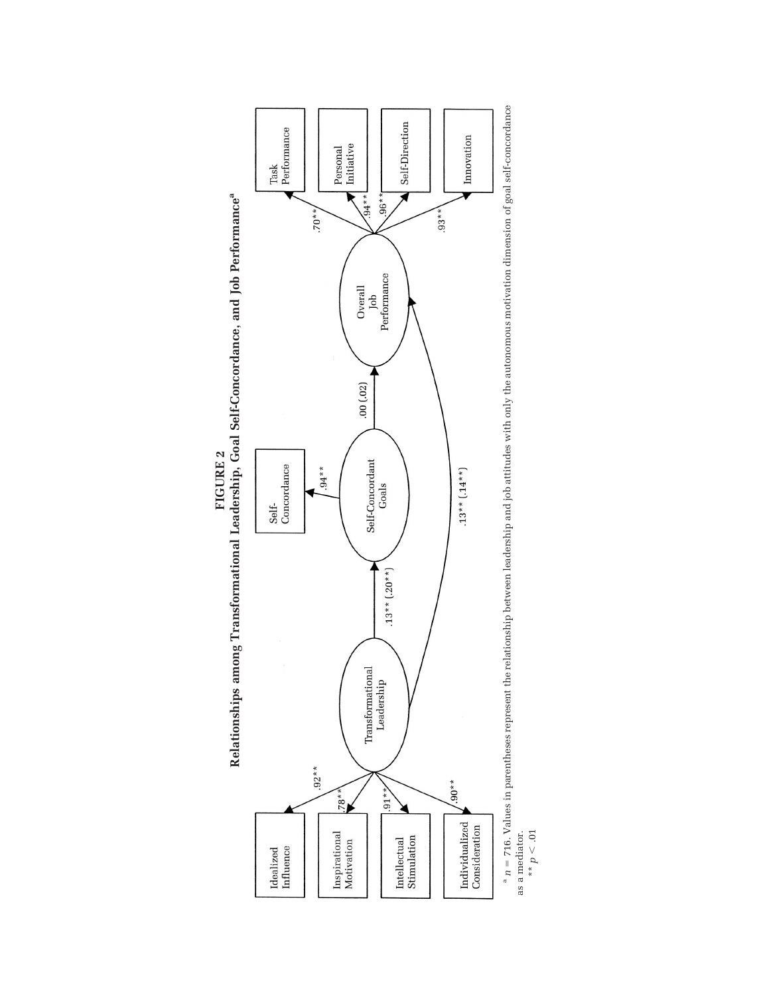

**FIGURE 2**

FIGURE 2



.01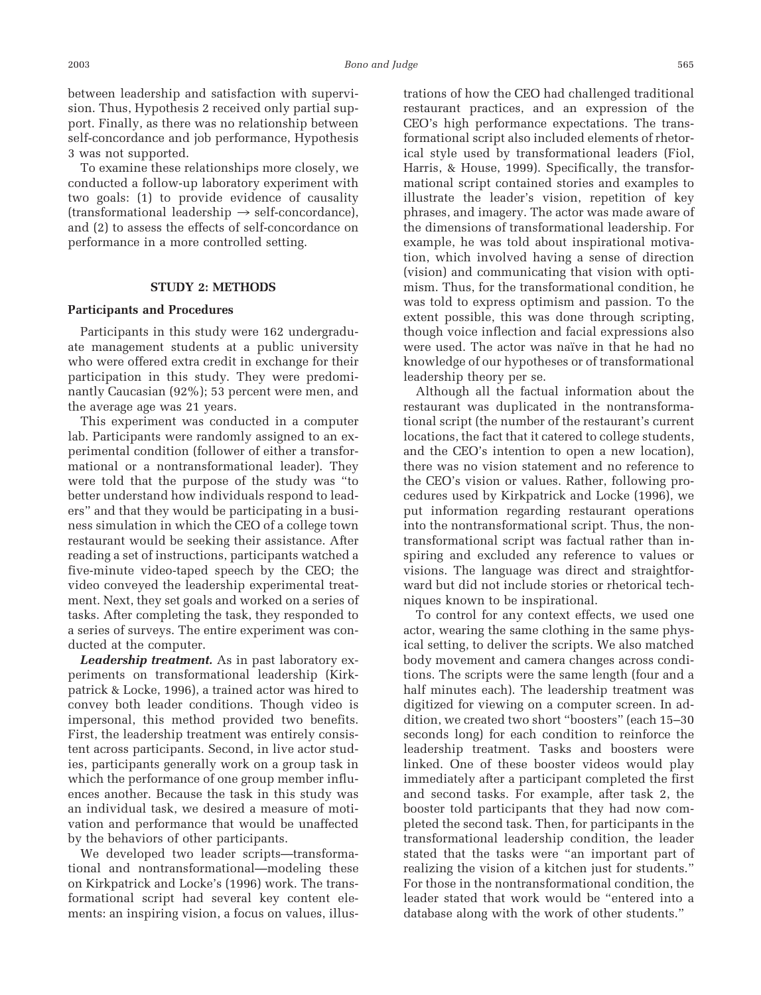between leadership and satisfaction with supervision. Thus, Hypothesis 2 received only partial support. Finally, as there was no relationship between self-concordance and job performance, Hypothesis 3 was not supported.

To examine these relationships more closely, we conducted a follow-up laboratory experiment with two goals: (1) to provide evidence of causality (transformational leadership  $\rightarrow$  self-concordance), and (2) to assess the effects of self-concordance on performance in a more controlled setting.

#### **STUDY 2: METHODS**

#### **Participants and Procedures**

Participants in this study were 162 undergraduate management students at a public university who were offered extra credit in exchange for their participation in this study. They were predominantly Caucasian (92%); 53 percent were men, and the average age was 21 years.

This experiment was conducted in a computer lab. Participants were randomly assigned to an experimental condition (follower of either a transformational or a nontransformational leader). They were told that the purpose of the study was "to better understand how individuals respond to leaders" and that they would be participating in a business simulation in which the CEO of a college town restaurant would be seeking their assistance. After reading a set of instructions, participants watched a five-minute video-taped speech by the CEO; the video conveyed the leadership experimental treatment. Next, they set goals and worked on a series of tasks. After completing the task, they responded to a series of surveys. The entire experiment was conducted at the computer.

*Leadership treatment.* As in past laboratory experiments on transformational leadership (Kirkpatrick & Locke, 1996), a trained actor was hired to convey both leader conditions. Though video is impersonal, this method provided two benefits. First, the leadership treatment was entirely consistent across participants. Second, in live actor studies, participants generally work on a group task in which the performance of one group member influences another. Because the task in this study was an individual task, we desired a measure of motivation and performance that would be unaffected by the behaviors of other participants.

We developed two leader scripts—transformational and nontransformational—modeling these on Kirkpatrick and Locke's (1996) work. The transformational script had several key content elements: an inspiring vision, a focus on values, illustrations of how the CEO had challenged traditional restaurant practices, and an expression of the CEO's high performance expectations. The transformational script also included elements of rhetorical style used by transformational leaders (Fiol, Harris, & House, 1999). Specifically, the transformational script contained stories and examples to illustrate the leader's vision, repetition of key phrases, and imagery. The actor was made aware of the dimensions of transformational leadership. For example, he was told about inspirational motivation, which involved having a sense of direction (vision) and communicating that vision with optimism. Thus, for the transformational condition, he was told to express optimism and passion. To the extent possible, this was done through scripting, though voice inflection and facial expressions also were used. The actor was naïve in that he had no knowledge of our hypotheses or of transformational leadership theory per se.

Although all the factual information about the restaurant was duplicated in the nontransformational script (the number of the restaurant's current locations, the fact that it catered to college students, and the CEO's intention to open a new location), there was no vision statement and no reference to the CEO's vision or values. Rather, following procedures used by Kirkpatrick and Locke (1996), we put information regarding restaurant operations into the nontransformational script. Thus, the nontransformational script was factual rather than inspiring and excluded any reference to values or visions. The language was direct and straightforward but did not include stories or rhetorical techniques known to be inspirational.

To control for any context effects, we used one actor, wearing the same clothing in the same physical setting, to deliver the scripts. We also matched body movement and camera changes across conditions. The scripts were the same length (four and a half minutes each). The leadership treatment was digitized for viewing on a computer screen. In addition, we created two short "boosters" (each 15–30 seconds long) for each condition to reinforce the leadership treatment. Tasks and boosters were linked. One of these booster videos would play immediately after a participant completed the first and second tasks. For example, after task 2, the booster told participants that they had now completed the second task. Then, for participants in the transformational leadership condition, the leader stated that the tasks were "an important part of realizing the vision of a kitchen just for students." For those in the nontransformational condition, the leader stated that work would be "entered into a database along with the work of other students."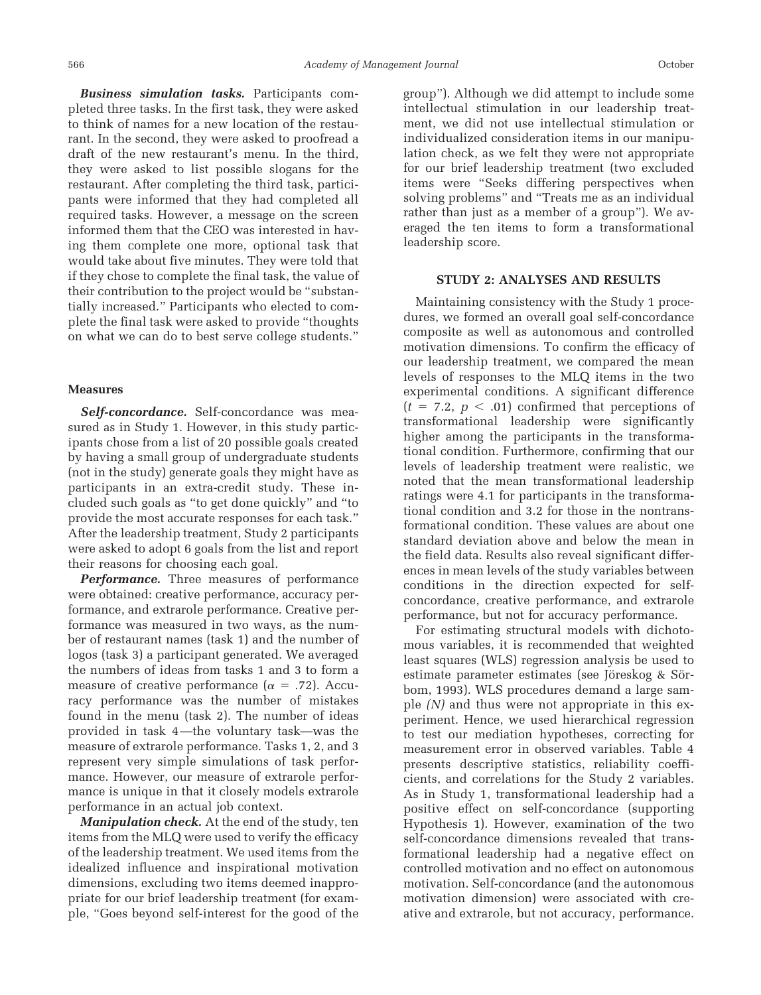*Business simulation tasks.* Participants completed three tasks. In the first task, they were asked to think of names for a new location of the restaurant. In the second, they were asked to proofread a draft of the new restaurant's menu. In the third, they were asked to list possible slogans for the restaurant. After completing the third task, participants were informed that they had completed all required tasks. However, a message on the screen informed them that the CEO was interested in having them complete one more, optional task that would take about five minutes. They were told that if they chose to complete the final task, the value of their contribution to the project would be "substantially increased." Participants who elected to complete the final task were asked to provide "thoughts on what we can do to best serve college students."

#### **Measures**

*Self-concordance.* Self-concordance was measured as in Study 1. However, in this study participants chose from a list of 20 possible goals created by having a small group of undergraduate students (not in the study) generate goals they might have as participants in an extra-credit study. These included such goals as "to get done quickly" and "to provide the most accurate responses for each task." After the leadership treatment, Study 2 participants were asked to adopt 6 goals from the list and report their reasons for choosing each goal.

*Performance.* Three measures of performance were obtained: creative performance, accuracy performance, and extrarole performance. Creative performance was measured in two ways, as the number of restaurant names (task 1) and the number of logos (task 3) a participant generated. We averaged the numbers of ideas from tasks 1 and 3 to form a measure of creative performance ( $\alpha$  = .72). Accuracy performance was the number of mistakes found in the menu (task 2). The number of ideas provided in task 4—the voluntary task—was the measure of extrarole performance. Tasks 1, 2, and 3 represent very simple simulations of task performance. However, our measure of extrarole performance is unique in that it closely models extrarole performance in an actual job context.

*Manipulation check.* At the end of the study, ten items from the MLQ were used to verify the efficacy of the leadership treatment. We used items from the idealized influence and inspirational motivation dimensions, excluding two items deemed inappropriate for our brief leadership treatment (for example, "Goes beyond self-interest for the good of the

group"). Although we did attempt to include some intellectual stimulation in our leadership treatment, we did not use intellectual stimulation or individualized consideration items in our manipulation check, as we felt they were not appropriate for our brief leadership treatment (two excluded items were "Seeks differing perspectives when solving problems" and "Treats me as an individual rather than just as a member of a group"). We averaged the ten items to form a transformational leadership score.

#### **STUDY 2: ANALYSES AND RESULTS**

Maintaining consistency with the Study 1 procedures, we formed an overall goal self-concordance composite as well as autonomous and controlled motivation dimensions. To confirm the efficacy of our leadership treatment, we compared the mean levels of responses to the MLQ items in the two experimental conditions. A significant difference  $(t = 7.2, p < .01)$  confirmed that perceptions of transformational leadership were significantly higher among the participants in the transformational condition. Furthermore, confirming that our levels of leadership treatment were realistic, we noted that the mean transformational leadership ratings were 4.1 for participants in the transformational condition and 3.2 for those in the nontransformational condition. These values are about one standard deviation above and below the mean in the field data. Results also reveal significant differences in mean levels of the study variables between conditions in the direction expected for selfconcordance, creative performance, and extrarole performance, but not for accuracy performance.

For estimating structural models with dichotomous variables, it is recommended that weighted least squares (WLS) regression analysis be used to estimate parameter estimates (see Jöreskog & Sörbom, 1993). WLS procedures demand a large sample *(N)* and thus were not appropriate in this experiment. Hence, we used hierarchical regression to test our mediation hypotheses, correcting for measurement error in observed variables. Table 4 presents descriptive statistics, reliability coefficients, and correlations for the Study 2 variables. As in Study 1, transformational leadership had a positive effect on self-concordance (supporting Hypothesis 1). However, examination of the two self-concordance dimensions revealed that transformational leadership had a negative effect on controlled motivation and no effect on autonomous motivation. Self-concordance (and the autonomous motivation dimension) were associated with creative and extrarole, but not accuracy, performance.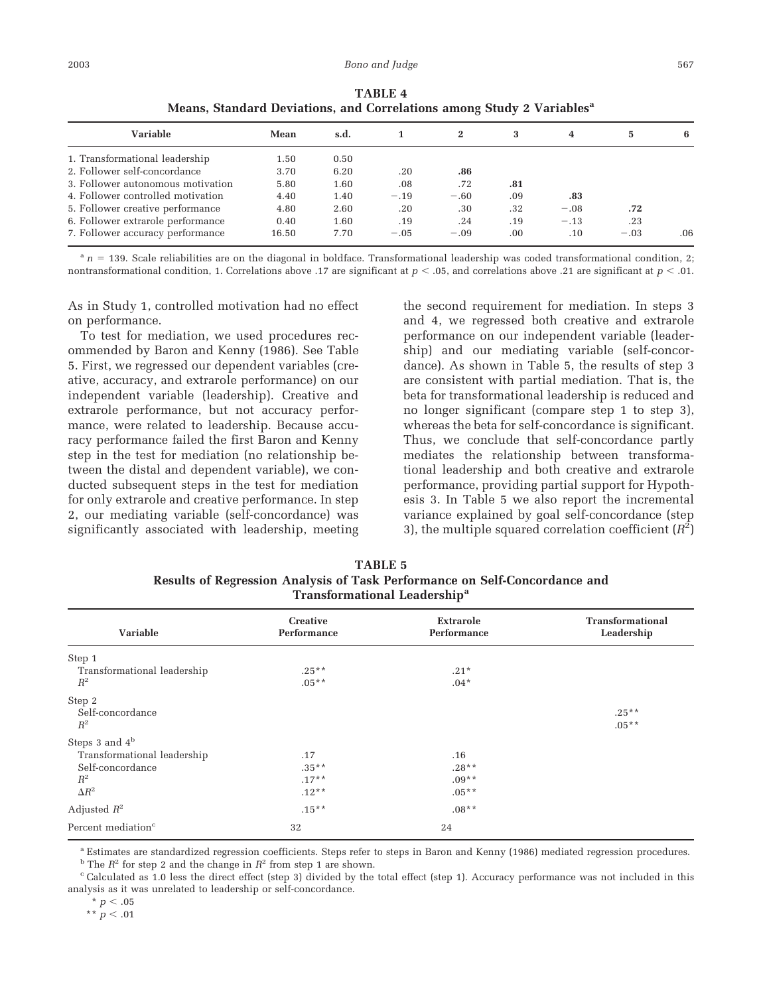| Variable                          | Mean  | s.d. |        |        |      | 4      | 5      | -6  |
|-----------------------------------|-------|------|--------|--------|------|--------|--------|-----|
| 1. Transformational leadership    | 1.50  | 0.50 |        |        |      |        |        |     |
| 2. Follower self-concordance      | 3.70  | 6.20 | .20    | .86    |      |        |        |     |
| 3. Follower autonomous motivation | 5.80  | 1.60 | .08    | .72    | .81  |        |        |     |
| 4. Follower controlled motivation | 4.40  | 1.40 | $-.19$ | $-.60$ | .09  | .83    |        |     |
| 5. Follower creative performance  | 4.80  | 2.60 | .20    | .30    | .32  | $-.08$ | .72    |     |
| 6. Follower extrarole performance | 0.40  | 1.60 | .19    | .24    | .19  | $-.13$ | .23    |     |
| 7. Follower accuracy performance  | 16.50 | 7.70 | $-.05$ | $-.09$ | .00. | .10    | $-.03$ | .06 |

**TABLE 4 Means, Standard Deviations, and Correlations among Study 2 Variablesa**

 $a_n = 139$ . Scale reliabilities are on the diagonal in boldface. Transformational leadership was coded transformational condition, 2; nontransformational condition, 1. Correlations above .17 are significant at *p* - .05, and correlations above .21 are significant at *p* - .01.

As in Study 1, controlled motivation had no effect on performance.

To test for mediation, we used procedures recommended by Baron and Kenny (1986). See Table 5. First, we regressed our dependent variables (creative, accuracy, and extrarole performance) on our independent variable (leadership). Creative and extrarole performance, but not accuracy performance, were related to leadership. Because accuracy performance failed the first Baron and Kenny step in the test for mediation (no relationship between the distal and dependent variable), we conducted subsequent steps in the test for mediation for only extrarole and creative performance. In step 2, our mediating variable (self-concordance) was significantly associated with leadership, meeting the second requirement for mediation. In steps 3 and 4, we regressed both creative and extrarole performance on our independent variable (leadership) and our mediating variable (self-concordance). As shown in Table 5, the results of step 3 are consistent with partial mediation. That is, the beta for transformational leadership is reduced and no longer significant (compare step 1 to step 3), whereas the beta for self-concordance is significant. Thus, we conclude that self-concordance partly mediates the relationship between transformational leadership and both creative and extrarole performance, providing partial support for Hypothesis 3. In Table 5 we also report the incremental variance explained by goal self-concordance (step 3), the multiple squared correlation coefficient  $(R^2)$ 

| Variable                       | <b>Creative</b><br>Performance | <b>Extrarole</b><br>Performance | <b>Transformational</b><br>Leadership |
|--------------------------------|--------------------------------|---------------------------------|---------------------------------------|
| Step 1                         |                                |                                 |                                       |
| Transformational leadership    | $.25***$                       | $.21*$                          |                                       |
| $R^2$                          | $.05***$                       | $.04*$                          |                                       |
| Step 2                         |                                |                                 |                                       |
| Self-concordance               |                                |                                 | $.25**$                               |
| $R^2$                          |                                |                                 | $.05***$                              |
| Steps 3 and 4 <sup>b</sup>     |                                |                                 |                                       |
| Transformational leadership    | .17                            | .16                             |                                       |
| Self-concordance               | $.35***$                       | $.28**$                         |                                       |
| $R^2$                          | $.17***$                       | $.09**$                         |                                       |
| $\Delta R^2$                   | $.12**$                        | $.05***$                        |                                       |
| Adjusted $R^2$                 | $.15***$                       | $.08**$                         |                                       |
| Percent mediation <sup>c</sup> | 32                             | 24                              |                                       |

**TABLE 5 Results of Regression Analysis of Task Performance on Self-Concordance and Transformational Leadershipa**

<sup>a</sup> Estimates are standardized regression coefficients. Steps refer to steps in Baron and Kenny (1986) mediated regression procedures.

<sup>b</sup> The  $R^2$  for step 2 and the change in  $R^2$  from step 1 are shown.

<sup>c</sup> Calculated as 1.0 less the direct effect (step 3) divided by the total effect (step 1). Accuracy performance was not included in this analysis as it was unrelated to leadership or self-concordance.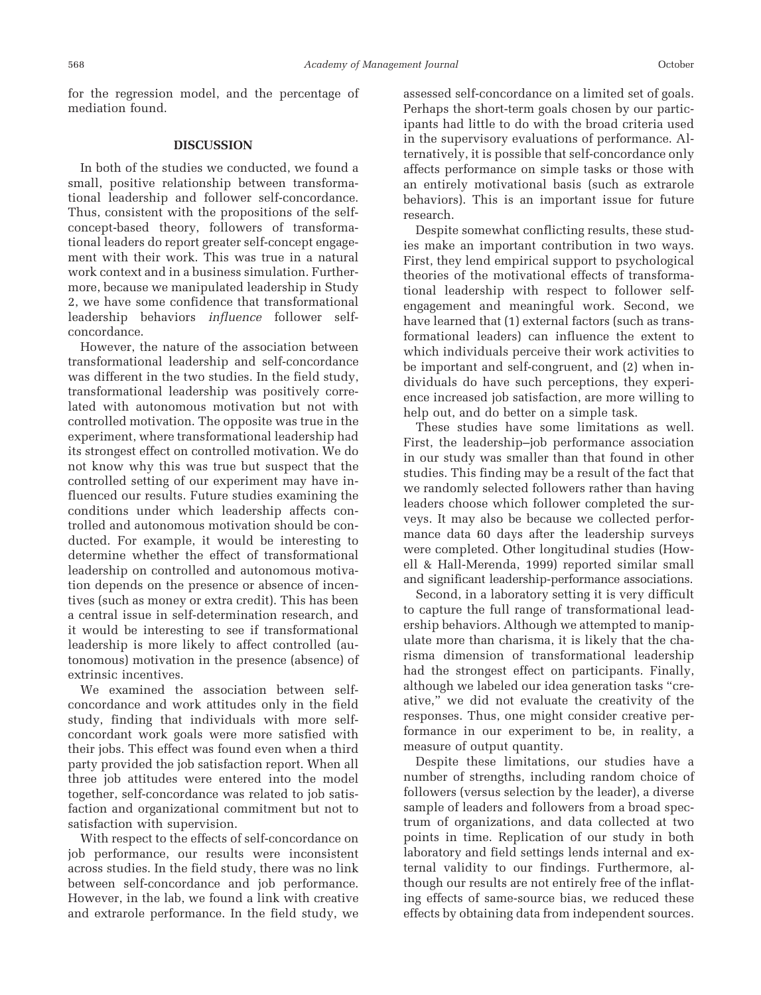for the regression model, and the percentage of mediation found.

## **DISCUSSION**

In both of the studies we conducted, we found a small, positive relationship between transformational leadership and follower self-concordance. Thus, consistent with the propositions of the selfconcept-based theory, followers of transformational leaders do report greater self-concept engagement with their work. This was true in a natural work context and in a business simulation. Furthermore, because we manipulated leadership in Study 2, we have some confidence that transformational leadership behaviors *influence* follower selfconcordance.

However, the nature of the association between transformational leadership and self-concordance was different in the two studies. In the field study, transformational leadership was positively correlated with autonomous motivation but not with controlled motivation. The opposite was true in the experiment, where transformational leadership had its strongest effect on controlled motivation. We do not know why this was true but suspect that the controlled setting of our experiment may have influenced our results. Future studies examining the conditions under which leadership affects controlled and autonomous motivation should be conducted. For example, it would be interesting to determine whether the effect of transformational leadership on controlled and autonomous motivation depends on the presence or absence of incentives (such as money or extra credit). This has been a central issue in self-determination research, and it would be interesting to see if transformational leadership is more likely to affect controlled (autonomous) motivation in the presence (absence) of extrinsic incentives.

We examined the association between selfconcordance and work attitudes only in the field study, finding that individuals with more selfconcordant work goals were more satisfied with their jobs. This effect was found even when a third party provided the job satisfaction report. When all three job attitudes were entered into the model together, self-concordance was related to job satisfaction and organizational commitment but not to satisfaction with supervision.

With respect to the effects of self-concordance on job performance, our results were inconsistent across studies. In the field study, there was no link between self-concordance and job performance. However, in the lab, we found a link with creative and extrarole performance. In the field study, we

assessed self-concordance on a limited set of goals. Perhaps the short-term goals chosen by our participants had little to do with the broad criteria used in the supervisory evaluations of performance. Alternatively, it is possible that self-concordance only affects performance on simple tasks or those with an entirely motivational basis (such as extrarole behaviors). This is an important issue for future research.

Despite somewhat conflicting results, these studies make an important contribution in two ways. First, they lend empirical support to psychological theories of the motivational effects of transformational leadership with respect to follower selfengagement and meaningful work. Second, we have learned that (1) external factors (such as transformational leaders) can influence the extent to which individuals perceive their work activities to be important and self-congruent, and (2) when individuals do have such perceptions, they experience increased job satisfaction, are more willing to help out, and do better on a simple task.

These studies have some limitations as well. First, the leadership–job performance association in our study was smaller than that found in other studies. This finding may be a result of the fact that we randomly selected followers rather than having leaders choose which follower completed the surveys. It may also be because we collected performance data 60 days after the leadership surveys were completed. Other longitudinal studies (Howell & Hall-Merenda, 1999) reported similar small and significant leadership-performance associations.

Second, in a laboratory setting it is very difficult to capture the full range of transformational leadership behaviors. Although we attempted to manipulate more than charisma, it is likely that the charisma dimension of transformational leadership had the strongest effect on participants. Finally, although we labeled our idea generation tasks "creative," we did not evaluate the creativity of the responses. Thus, one might consider creative performance in our experiment to be, in reality, a measure of output quantity.

Despite these limitations, our studies have a number of strengths, including random choice of followers (versus selection by the leader), a diverse sample of leaders and followers from a broad spectrum of organizations, and data collected at two points in time. Replication of our study in both laboratory and field settings lends internal and external validity to our findings. Furthermore, although our results are not entirely free of the inflating effects of same-source bias, we reduced these effects by obtaining data from independent sources.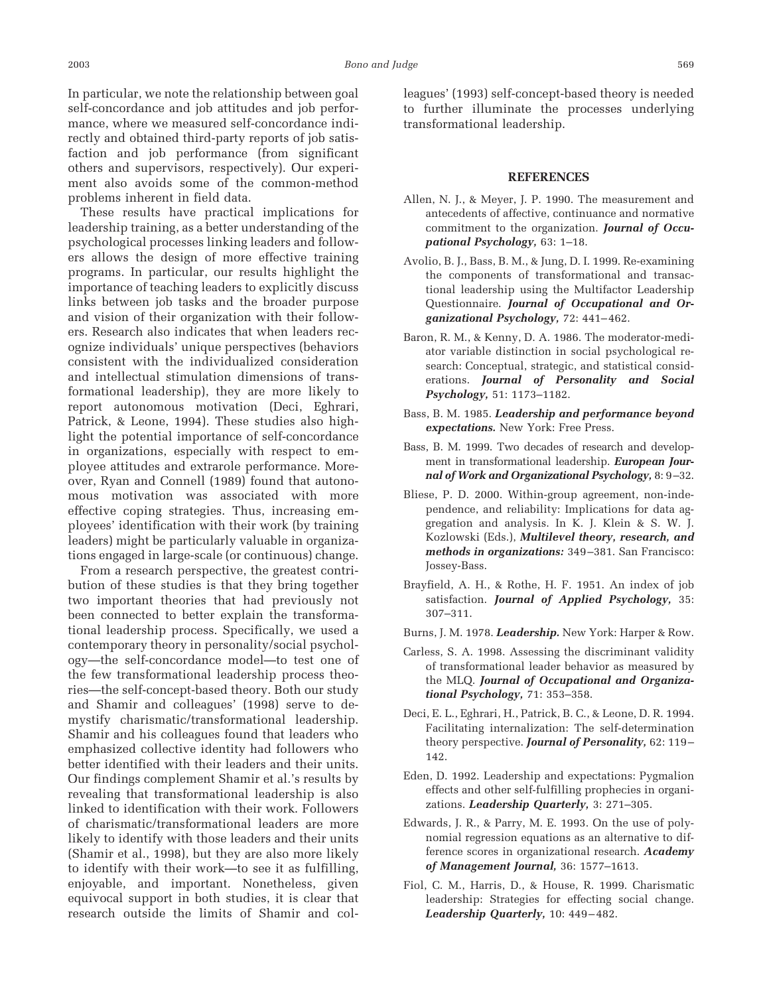In particular, we note the relationship between goal self-concordance and job attitudes and job performance, where we measured self-concordance indirectly and obtained third-party reports of job satisfaction and job performance (from significant others and supervisors, respectively). Our experiment also avoids some of the common-method problems inherent in field data.

These results have practical implications for leadership training, as a better understanding of the psychological processes linking leaders and followers allows the design of more effective training programs. In particular, our results highlight the importance of teaching leaders to explicitly discuss links between job tasks and the broader purpose and vision of their organization with their followers. Research also indicates that when leaders recognize individuals' unique perspectives (behaviors consistent with the individualized consideration and intellectual stimulation dimensions of transformational leadership), they are more likely to report autonomous motivation (Deci, Eghrari, Patrick, & Leone, 1994). These studies also highlight the potential importance of self-concordance in organizations, especially with respect to employee attitudes and extrarole performance. Moreover, Ryan and Connell (1989) found that autonomous motivation was associated with more effective coping strategies. Thus, increasing employees' identification with their work (by training leaders) might be particularly valuable in organizations engaged in large-scale (or continuous) change.

From a research perspective, the greatest contribution of these studies is that they bring together two important theories that had previously not been connected to better explain the transformational leadership process. Specifically, we used a contemporary theory in personality/social psychology—the self-concordance model—to test one of the few transformational leadership process theories—the self-concept-based theory. Both our study and Shamir and colleagues' (1998) serve to demystify charismatic/transformational leadership. Shamir and his colleagues found that leaders who emphasized collective identity had followers who better identified with their leaders and their units. Our findings complement Shamir et al.'s results by revealing that transformational leadership is also linked to identification with their work. Followers of charismatic/transformational leaders are more likely to identify with those leaders and their units (Shamir et al., 1998), but they are also more likely to identify with their work—to see it as fulfilling, enjoyable, and important. Nonetheless, given equivocal support in both studies, it is clear that research outside the limits of Shamir and colleagues' (1993) self-concept-based theory is needed to further illuminate the processes underlying transformational leadership.

#### **REFERENCES**

- Allen, N. J., & Meyer, J. P. 1990. The measurement and antecedents of affective, continuance and normative commitment to the organization. *Journal of Occupational Psychology,* 63: 1–18.
- Avolio, B. J., Bass, B. M., & Jung, D. I. 1999. Re-examining the components of transformational and transactional leadership using the Multifactor Leadership Questionnaire. *Journal of Occupational and Organizational Psychology,* 72: 441–462.
- Baron, R. M., & Kenny, D. A. 1986. The moderator-mediator variable distinction in social psychological research: Conceptual, strategic, and statistical considerations. *Journal of Personality and Social Psychology,* 51: 1173–1182.
- Bass, B. M. 1985. *Leadership and performance beyond expectations.* New York: Free Press.
- Bass, B. M. 1999. Two decades of research and development in transformational leadership. *European Journal of Work and Organizational Psychology,* 8: 9–32.
- Bliese, P. D. 2000. Within-group agreement, non-independence, and reliability: Implications for data aggregation and analysis. In K. J. Klein & S. W. J. Kozlowski (Eds.), *Multilevel theory, research, and methods in organizations:* 349–381. San Francisco: Jossey-Bass.
- Brayfield, A. H., & Rothe, H. F. 1951. An index of job satisfaction. *Journal of Applied Psychology,* 35: 307–311.
- Burns, J. M. 1978. *Leadership.* New York: Harper & Row.
- Carless, S. A. 1998. Assessing the discriminant validity of transformational leader behavior as measured by the MLQ. *Journal of Occupational and Organizational Psychology,* 71: 353–358.
- Deci, E. L., Eghrari, H., Patrick, B. C., & Leone, D. R. 1994. Facilitating internalization: The self-determination theory perspective. *Journal of Personality,* 62: 119– 142.
- Eden, D. 1992. Leadership and expectations: Pygmalion effects and other self-fulfilling prophecies in organizations. *Leadership Quarterly,* 3: 271–305.
- Edwards, J. R., & Parry, M. E. 1993. On the use of polynomial regression equations as an alternative to difference scores in organizational research. *Academy of Management Journal,* 36: 1577–1613.
- Fiol, C. M., Harris, D., & House, R. 1999. Charismatic leadership: Strategies for effecting social change. *Leadership Quarterly,* 10: 449–482.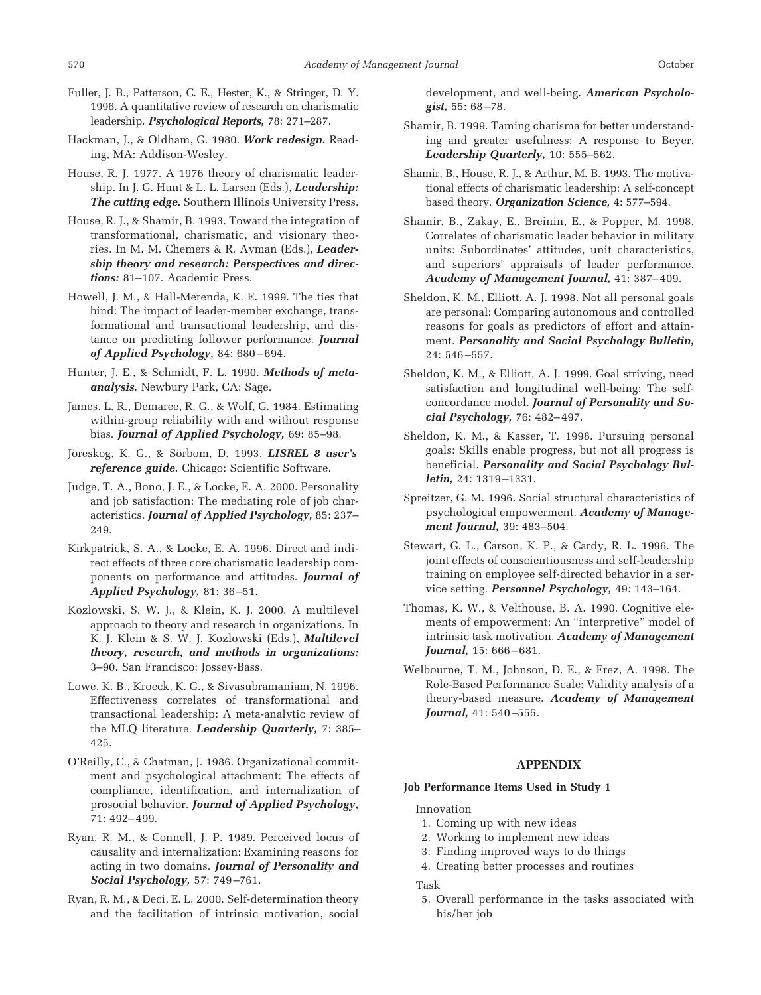- Fuller, J. B., Patterson, C. E., Hester, K., & Stringer, D. Y. 1996. A quantitative review of research on charismatic leadership. *Psychological Reports,* 78: 271–287.
- Hackman, J., & Oldham, G. 1980. *Work redesign.* Reading, MA: Addison-Wesley.
- House, R. J. 1977. A 1976 theory of charismatic leadership. In J. G. Hunt & L. L. Larsen (Eds.), *Leadership: The cutting edge.* Southern Illinois University Press.
- House, R. J., & Shamir, B. 1993. Toward the integration of transformational, charismatic, and visionary theories. In M. M. Chemers & R. Ayman (Eds.), *Leadership theory and research: Perspectives and directions:* 81–107. Academic Press.
- Howell, J. M., & Hall-Merenda, K. E. 1999. The ties that bind: The impact of leader-member exchange, transformational and transactional leadership, and distance on predicting follower performance. *Journal of Applied Psychology,* 84: 680–694.
- Hunter, J. E., & Schmidt, F. L. 1990. *Methods of metaanalysis.* Newbury Park, CA: Sage.
- James, L. R., Demaree, R. G., & Wolf, G. 1984. Estimating within-group reliability with and without response bias. *Journal of Applied Psychology,* 69: 85–98.
- Jöreskog, K. G., & Sörbom, D. 1993. LISREL 8 user's *reference guide.* Chicago: Scientific Software.
- Judge, T. A., Bono, J. E., & Locke, E. A. 2000. Personality and job satisfaction: The mediating role of job characteristics. *Journal of Applied Psychology,* 85: 237– 249.
- Kirkpatrick, S. A., & Locke, E. A. 1996. Direct and indirect effects of three core charismatic leadership components on performance and attitudes. *Journal of Applied Psychology,* 81: 36–51.
- Kozlowski, S. W. J., & Klein, K. J. 2000. A multilevel approach to theory and research in organizations. In K. J. Klein & S. W. J. Kozlowski (Eds.), *Multilevel theory, research, and methods in organizations:* 3–90. San Francisco: Jossey-Bass.
- Lowe, K. B., Kroeck, K. G., & Sivasubramaniam, N. 1996. Effectiveness correlates of transformational and transactional leadership: A meta-analytic review of the MLQ literature. *Leadership Quarterly,* 7: 385– 425.
- O'Reilly, C., & Chatman, J. 1986. Organizational commitment and psychological attachment: The effects of compliance, identification, and internalization of prosocial behavior. *Journal of Applied Psychology,* 71: 492–499.
- Ryan, R. M., & Connell, J. P. 1989. Perceived locus of causality and internalization: Examining reasons for acting in two domains. *Journal of Personality and Social Psychology,* 57: 749–761.
- Ryan, R. M., & Deci, E. L. 2000. Self-determination theory and the facilitation of intrinsic motivation, social

development, and well-being. *American Psychologist,* 55: 68–78.

- Shamir, B. 1999. Taming charisma for better understanding and greater usefulness: A response to Beyer. *Leadership Quarterly,* 10: 555–562.
- Shamir, B., House, R. J., & Arthur, M. B. 1993. The motivational effects of charismatic leadership: A self-concept based theory. *Organization Science,* 4: 577–594.
- Shamir, B., Zakay, E., Breinin, E., & Popper, M. 1998. Correlates of charismatic leader behavior in military units: Subordinates' attitudes, unit characteristics, and superiors' appraisals of leader performance. *Academy of Management Journal,* 41: 387–409.
- Sheldon, K. M., Elliott, A. J. 1998. Not all personal goals are personal: Comparing autonomous and controlled reasons for goals as predictors of effort and attainment. *Personality and Social Psychology Bulletin,* 24: 546–557.
- Sheldon, K. M., & Elliott, A. J. 1999. Goal striving, need satisfaction and longitudinal well-being: The selfconcordance model. *Journal of Personality and Social Psychology,* 76: 482–497.
- Sheldon, K. M., & Kasser, T. 1998. Pursuing personal goals: Skills enable progress, but not all progress is beneficial. *Personality and Social Psychology Bulletin,* 24: 1319–1331.
- Spreitzer, G. M. 1996. Social structural characteristics of psychological empowerment. *Academy of Management Journal,* 39: 483–504.
- Stewart, G. L., Carson, K. P., & Cardy, R. L. 1996. The joint effects of conscientiousness and self-leadership training on employee self-directed behavior in a service setting. *Personnel Psychology,* 49: 143–164.
- Thomas, K. W., & Velthouse, B. A. 1990. Cognitive elements of empowerment: An "interpretive" model of intrinsic task motivation. *Academy of Management Journal,* 15: 666–681.
- Welbourne, T. M., Johnson, D. E., & Erez, A. 1998. The Role-Based Performance Scale: Validity analysis of a theory-based measure. *Academy of Management Journal,* 41: 540–555.

# **APPENDIX**

#### **Job Performance Items Used in Study 1**

Innovation

- 1. Coming up with new ideas
- 2. Working to implement new ideas
- 3. Finding improved ways to do things
- 4. Creating better processes and routines

Task

5. Overall performance in the tasks associated with his/her job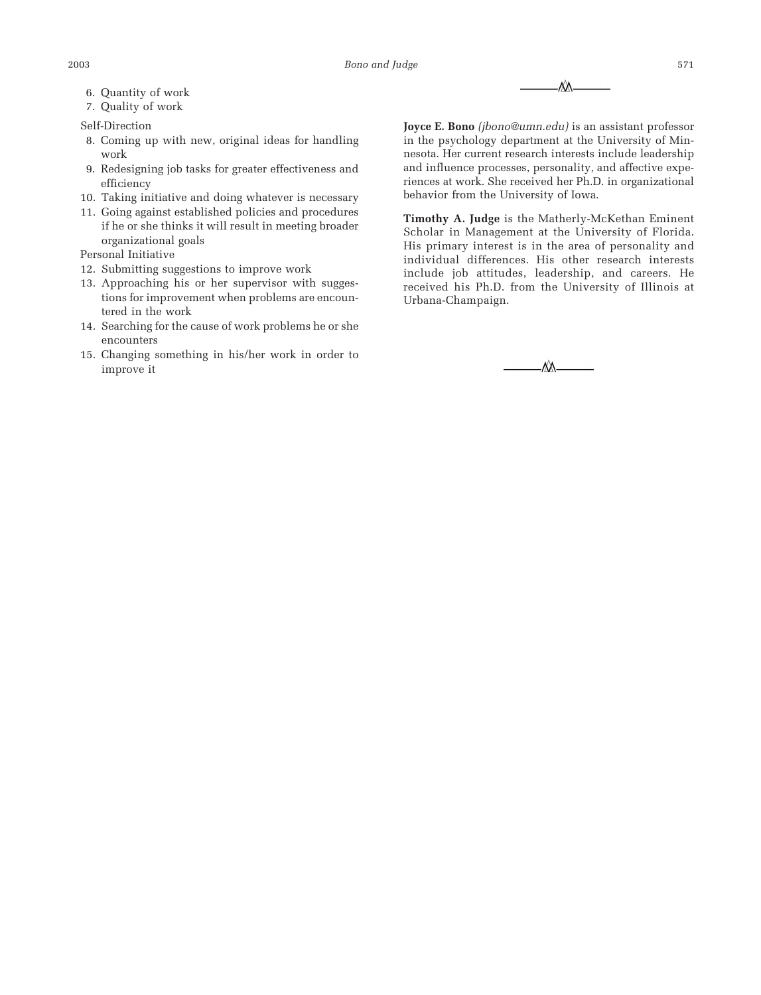- 6. Quantity of work
- 7. Quality of work

Self-Direction

- 8. Coming up with new, original ideas for handling work
- 9. Redesigning job tasks for greater effectiveness and efficiency
- 10. Taking initiative and doing whatever is necessary
- 11. Going against established policies and procedures if he or she thinks it will result in meeting broader organizational goals
- Personal Initiative
- 12. Submitting suggestions to improve work
- 13. Approaching his or her supervisor with suggestions for improvement when problems are encountered in the work
- 14. Searching for the cause of work problems he or she encounters
- 15. Changing something in his/her work in order to improve it

**Joyce E. Bono** *(jbono@umn.edu)* is an assistant professor in the psychology department at the University of Minnesota. Her current research interests include leadership and influence processes, personality, and affective experiences at work. She received her Ph.D. in organizational behavior from the University of Iowa.

٨W

**Timothy A. Judge** is the Matherly-McKethan Eminent Scholar in Management at the University of Florida. His primary interest is in the area of personality and individual differences. His other research interests include job attitudes, leadership, and careers. He received his Ph.D. from the University of Illinois at Urbana-Champaign.

-WV